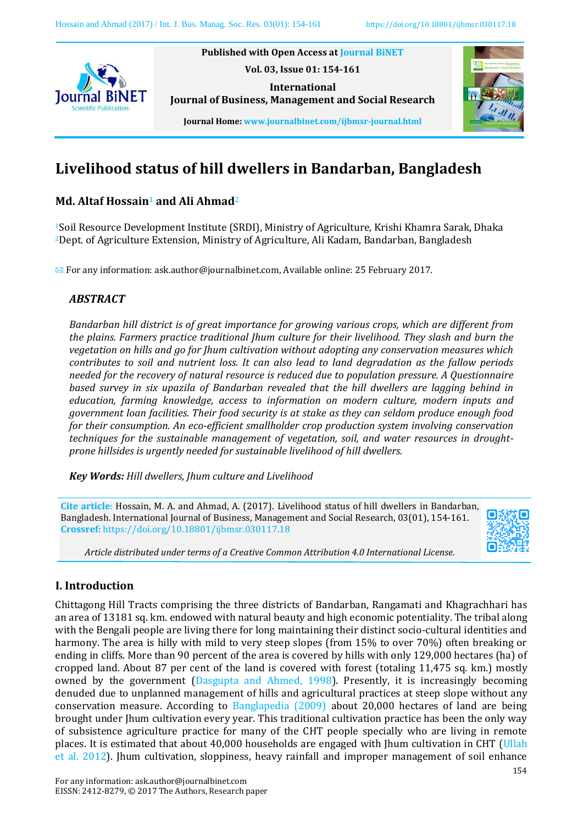

**Published with Open Access at Journal BiNET Vol. 03, Issue 01: 154-161 International**



**Journal Home: www.journalbinet.com/ijbmsr-journal.html**

**Journal of Business, Management and Social Research**

# **Livelihood status of hill dwellers in Bandarban, Bangladesh**

# **Md. Altaf Hossain**<sup>1</sup> **and Ali Ahmad**<sup>2</sup>

<sup>1</sup>Soil Resource Development Institute (SRDI), Ministry of Agriculture, Krishi Khamra Sarak, Dhaka <sup>2</sup>Dept. of Agriculture Extension, Ministry of Agriculture, Ali Kadam, Bandarban, Bangladesh

✉ For any information: ask.author@journalbinet.com, Available online: 25 February 2017.

# *ABSTRACT*

*Bandarban hill district is of great importance for growing various crops, which are different from the plains. Farmers practice traditional Jhum culture for their livelihood. They slash and burn the vegetation on hills and go for Jhum cultivation without adopting any conservation measures which contributes to soil and nutrient loss. It can also lead to land degradation as the fallow periods needed for the recovery of natural resource is reduced due to population pressure. A Questionnaire based survey in six upazila of Bandarban revealed that the hill dwellers are lagging behind in education, farming knowledge, access to information on modern culture, modern inputs and government loan facilities. Their food security is at stake as they can seldom produce enough food for their consumption. An eco-efficient smallholder crop production system involving conservation techniques for the sustainable management of vegetation, soil, and water resources in droughtprone hillsides is urgently needed for sustainable livelihood of hill dwellers.*

*Key Words: Hill dwellers, Jhum culture and Livelihood*

**Cite article**: Hossain, M. A. and Ahmad, A. (2017). Livelihood status of hill dwellers in Bandarban, Bangladesh. International Journal of Business, Management and Social Research, 03(01), 154-161. **Crossref:** https://doi.org/10.18801/ijbmsr.030117.18



*Article distributed under terms of a Creative Common Attribution 4.0 International License.*

# **I. Introduction**

Chittagong Hill Tracts comprising the three districts of Bandarban, Rangamati and Khagrachhari has an area of 13181 sq. km. endowed with natural beauty and high economic potentiality. The tribal along with the Bengali people are living there for long maintaining their distinct socio-cultural identities and harmony. The area is hilly with mild to very steep slopes (from 15% to over 70%) often breaking or ending in cliffs. More than 90 percent of the area is covered by hills with only 129,000 hectares (ha) of cropped land. About 87 per cent of the land is covered with forest (totaling 11,475 sq. km.) mostly owned by the government (Dasgupta and Ahmed, 1998). Presently, it is increasingly becoming denuded due to unplanned management of hills and agricultural practices at steep slope without any conservation measure. According to Banglapedia (2009) about 20,000 hectares of land are being brought under Jhum cultivation every year. This traditional cultivation practice has been the only way of subsistence agriculture practice for many of the CHT people specially who are living in remote places. It is estimated that about 40,000 households are engaged with Jhum cultivation in CHT (Ullah et al. 2012). Jhum cultivation, sloppiness, heavy rainfall and improper management of soil enhance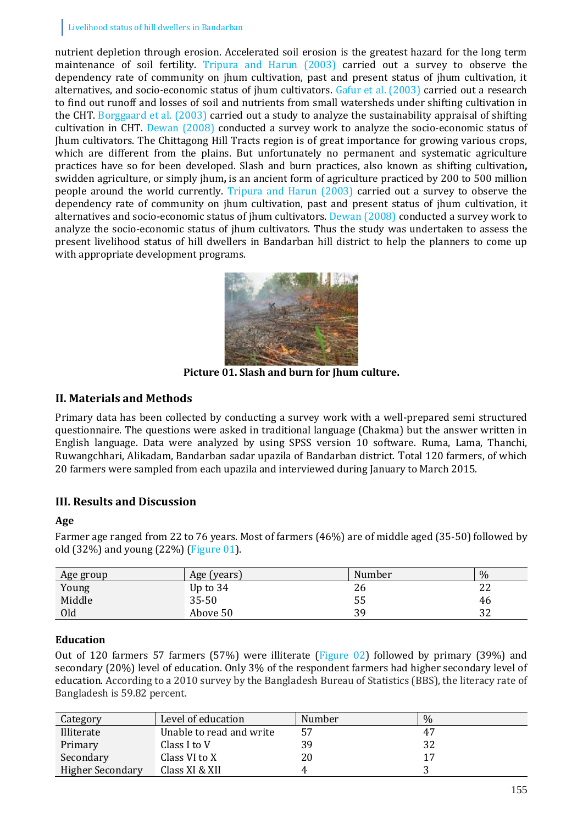nutrient depletion through erosion. Accelerated soil erosion is the greatest hazard for the long term maintenance of soil fertility. Tripura and Harun (2003) carried out a survey to observe the dependency rate of community on jhum cultivation, past and present status of jhum cultivation, it alternatives, and socio-economic status of jhum cultivators. Gafur et al. (2003) carried out a research to find out runoff and losses of soil and nutrients from small watersheds under shifting cultivation in the CHT. Borggaard et al. (2003) carried out a study to analyze the sustainability appraisal of shifting cultivation in CHT. Dewan (2008) conducted a survey work to analyze the socio-economic status of Jhum cultivators. The Chittagong Hill Tracts region is of great importance for growing various crops, which are different from the plains. But unfortunately no permanent and systematic agriculture practices have so for been developed. Slash and burn practices, also known as shifting cultivation**,**  swidden agriculture, or simply jhum**,** is an ancient form of agriculture practiced by 200 to 500 million people around the world currently. Tripura and Harun (2003) carried out a survey to observe the dependency rate of community on jhum cultivation, past and present status of jhum cultivation, it alternatives and socio-economic status of jhum cultivators. Dewan (2008) conducted a survey work to analyze the socio-economic status of jhum cultivators. Thus the study was undertaken to assess the present livelihood status of hill dwellers in Bandarban hill district to help the planners to come up with appropriate development programs.



**Picture 01. Slash and burn for Jhum culture.**

# **II. Materials and Methods**

Primary data has been collected by conducting a survey work with a well-prepared semi structured questionnaire. The questions were asked in traditional language (Chakma) but the answer written in English language. Data were analyzed by using SPSS version 10 software. Ruma, Lama, Thanchi, Ruwangchhari, Alikadam, Bandarban sadar upazila of Bandarban district. Total 120 farmers, of which 20 farmers were sampled from each upazila and interviewed during January to March 2015.

# **III. Results and Discussion**

### **Age**

Farmer age ranged from 22 to 76 years. Most of farmers (46%) are of middle aged (35-50) followed by old (32%) and young (22%) (Figure 01).

| Age group | Age (years) | Number | $\%$     |
|-----------|-------------|--------|----------|
| Young     | Up to 34    | 26     | າາ<br>∠∠ |
| Middle    | $35 - 50$   | 55     | 46       |
| Old       | Above 50    | 39     | 32       |

# **Education**

Out of 120 farmers 57 farmers (57%) were illiterate (Figure 02) followed by primary (39%) and secondary (20%) level of education. Only 3% of the respondent farmers had higher secondary level of education. According to a 2010 survey by the Bangladesh Bureau of Statistics (BBS), the literacy rate of Bangladesh is 59.82 percent.

| Category                | Level of education       | Number | $\%$ |
|-------------------------|--------------------------|--------|------|
| Illiterate              | Unable to read and write | 57     |      |
| Primary                 | Class I to V             | 39     |      |
| Secondary               | Class VI to X            | 20     |      |
| <b>Higher Secondary</b> | Class XI & XII           |        |      |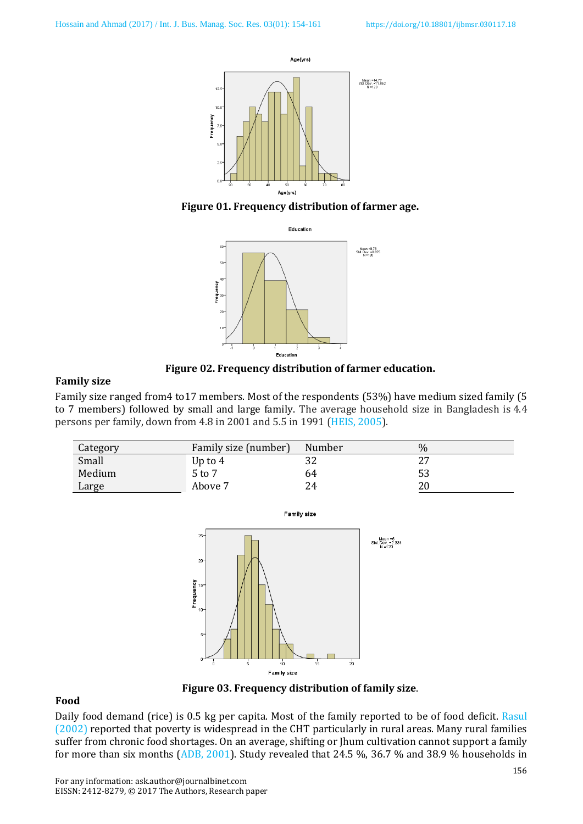

**Figure 01. Frequency distribution of farmer age.**



**Figure 02. Frequency distribution of farmer education.**

#### **Family size**

Family size ranged from4 to17 members. Most of the respondents (53%) have medium sized family (5 to 7 members) followed by small and large family. The average household size in Bangladesh is 4.4 persons per family, down from 4.8 in 2001 and 5.5 in 1991 (HEIS, 2005).

| Category | Family size (number) | Number | $\%$ |
|----------|----------------------|--------|------|
| Small    | Up to $4$            | ے د    |      |
| Medium   | 5 to 7               | 64     |      |
| Large    | Above 7              | 24     |      |



#### **Figure 03. Frequency distribution of family size**.

#### **Food**

Daily food demand (rice) is 0.5 kg per capita. Most of the family reported to be of food deficit. Rasul (2002) reported that poverty is widespread in the CHT particularly in rural areas. Many rural families suffer from chronic food shortages. On an average, shifting or Jhum cultivation cannot support a family for more than six months (ADB, 2001). Study revealed that 24.5 %, 36.7 % and 38.9 % households in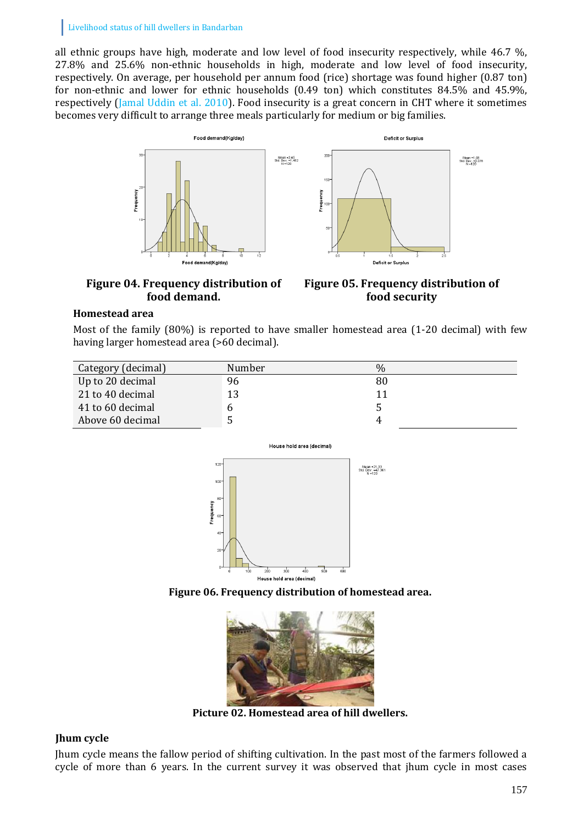all ethnic groups have high, moderate and low level of food insecurity respectively, while 46.7 %, 27.8% and 25.6% non-ethnic households in high, moderate and low level of food insecurity, respectively. On average, per household per annum food (rice) shortage was found higher (0.87 ton) for non-ethnic and lower for ethnic households (0.49 ton) which constitutes 84.5% and 45.9%, respectively (Jamal Uddin et al. 2010). Food insecurity is a great concern in CHT where it sometimes becomes very difficult to arrange three meals particularly for medium or big families.



#### **Figure 04. Frequency distribution of food demand.**

**Figure 05. Frequency distribution of food security**

# **Homestead area**

Most of the family (80%) is reported to have smaller homestead area (1-20 decimal) with few having larger homestead area (>60 decimal).

| Category (decimal) | Number | $\%$ |
|--------------------|--------|------|
| Up to 20 decimal   | 96     | 80   |
| 21 to 40 decimal   | 13     |      |
| 41 to 60 decimal   |        |      |
| Above 60 decimal   |        |      |



**Figure 06. Frequency distribution of homestead area.**



**Picture 02. Homestead area of hill dwellers.**

# **Jhum cycle**

Jhum cycle means the fallow period of shifting cultivation. In the past most of the farmers followed a cycle of more than 6 years. In the current survey it was observed that jhum cycle in most cases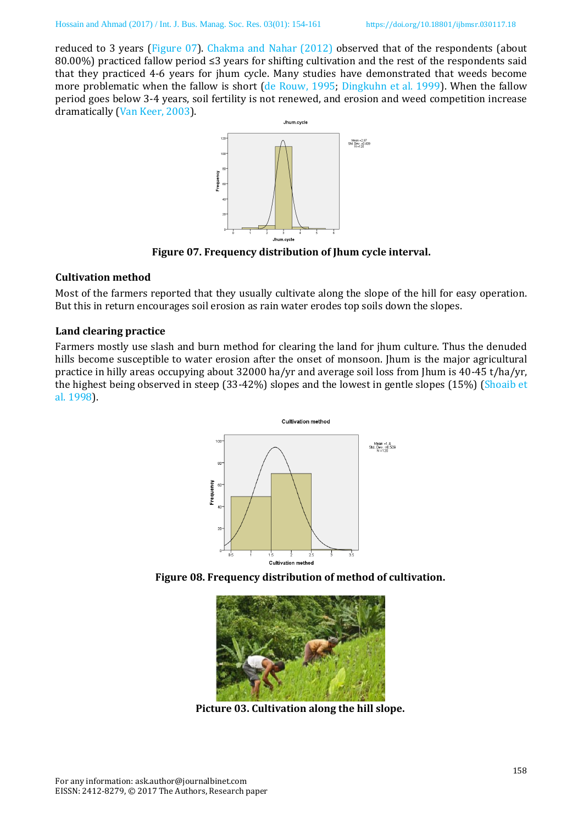reduced to 3 years (Figure 07). Chakma and Nahar (2012) observed that of the respondents (about 80.00%) practiced fallow period ≤3 years for shifting cultivation and the rest of the respondents said that they practiced 4-6 years for jhum cycle. Many studies have demonstrated that weeds become more problematic when the fallow is short (de Rouw, 1995; Dingkuhn et al. 1999). When the fallow period goes below 3-4 years, soil fertility is not renewed, and erosion and weed competition increase dramatically (Van Keer, 2003).



**Figure 07. Frequency distribution of Jhum cycle interval.**

### **Cultivation method**

Most of the farmers reported that they usually cultivate along the slope of the hill for easy operation. But this in return encourages soil erosion as rain water erodes top soils down the slopes.

# **Land clearing practice**

Farmers mostly use slash and burn method for clearing the land for jhum culture. Thus the denuded hills become susceptible to water erosion after the onset of monsoon. Jhum is the major agricultural practice in hilly areas occupying about 32000 ha/yr and average soil loss from Jhum is 40-45 t/ha/yr, the highest being observed in steep (33-42%) slopes and the lowest in gentle slopes (15%) (Shoaib et al. 1998).







**Picture 03. Cultivation along the hill slope.**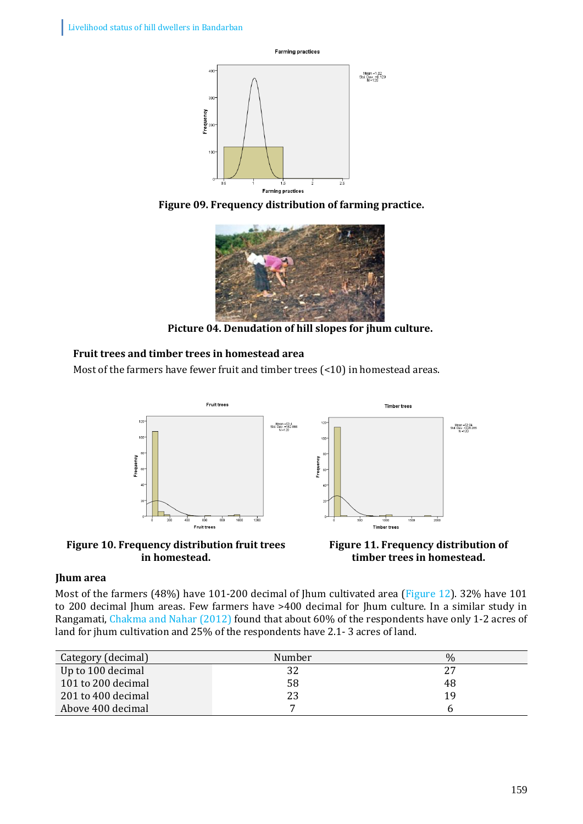

**Figure 09. Frequency distribution of farming practice.**



**Picture 04. Denudation of hill slopes for jhum culture.**

# **Fruit trees and timber trees in homestead area**

Most of the farmers have fewer fruit and timber trees (<10) in homestead areas.



**Figure 10. Frequency distribution fruit trees in homestead.**



### **Jhum area**

Most of the farmers (48%) have 101-200 decimal of Jhum cultivated area (Figure 12). 32% have 101 to 200 decimal Jhum areas. Few farmers have >400 decimal for Jhum culture. In a similar study in Rangamati, Chakma and Nahar (2012) found that about 60% of the respondents have only 1-2 acres of land for jhum cultivation and 25% of the respondents have 2.1- 3 acres of land.

| Category (decimal) | Number | $\%$ |
|--------------------|--------|------|
| Up to 100 decimal  | 32     | 27   |
| 101 to 200 decimal | 58     | 48   |
| 201 to 400 decimal |        | 19   |
| Above 400 decimal  |        |      |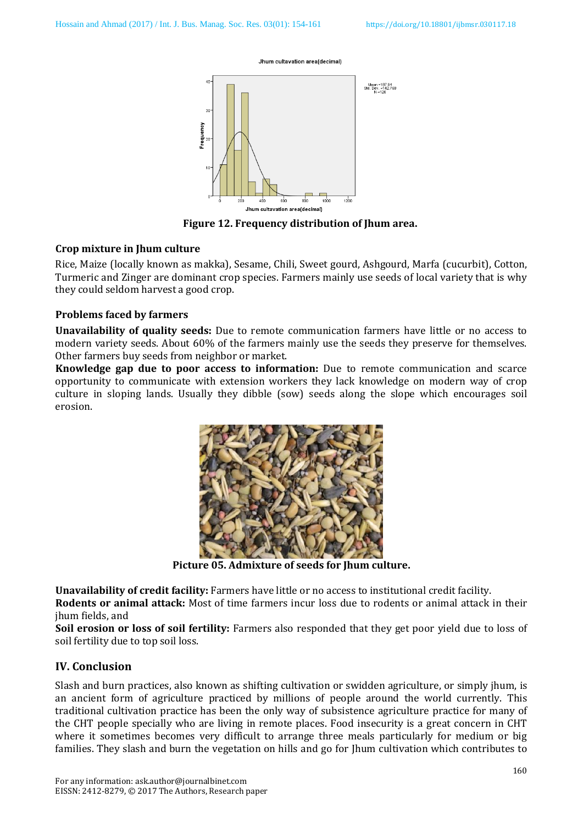#### Jhum cultavation area(decimal)



**Figure 12. Frequency distribution of Jhum area.**

#### **Crop mixture in Jhum culture**

Rice, Maize (locally known as makka), Sesame, Chili, Sweet gourd, Ashgourd, Marfa (cucurbit), Cotton, Turmeric and Zinger are dominant crop species. Farmers mainly use seeds of local variety that is why they could seldom harvest a good crop.

#### **Problems faced by farmers**

**Unavailability of quality seeds:** Due to remote communication farmers have little or no access to modern variety seeds. About 60% of the farmers mainly use the seeds they preserve for themselves. Other farmers buy seeds from neighbor or market.

**Knowledge gap due to poor access to information:** Due to remote communication and scarce opportunity to communicate with extension workers they lack knowledge on modern way of crop culture in sloping lands. Usually they dibble (sow) seeds along the slope which encourages soil erosion.



**Picture 05. Admixture of seeds for Jhum culture.**

**Unavailability of credit facility:** Farmers have little or no access to institutional credit facility.

**Rodents or animal attack:** Most of time farmers incur loss due to rodents or animal attack in their jhum fields, and

**Soil erosion or loss of soil fertility:** Farmers also responded that they get poor yield due to loss of soil fertility due to top soil loss.

### **IV. Conclusion**

Slash and burn practices, also known as shifting cultivation or swidden agriculture, or simply jhum, is an ancient form of agriculture practiced by millions of people around the world currently. This traditional cultivation practice has been the only way of subsistence agriculture practice for many of the CHT people specially who are living in remote places. Food insecurity is a great concern in CHT where it sometimes becomes very difficult to arrange three meals particularly for medium or big families. They slash and burn the vegetation on hills and go for Jhum cultivation which contributes to